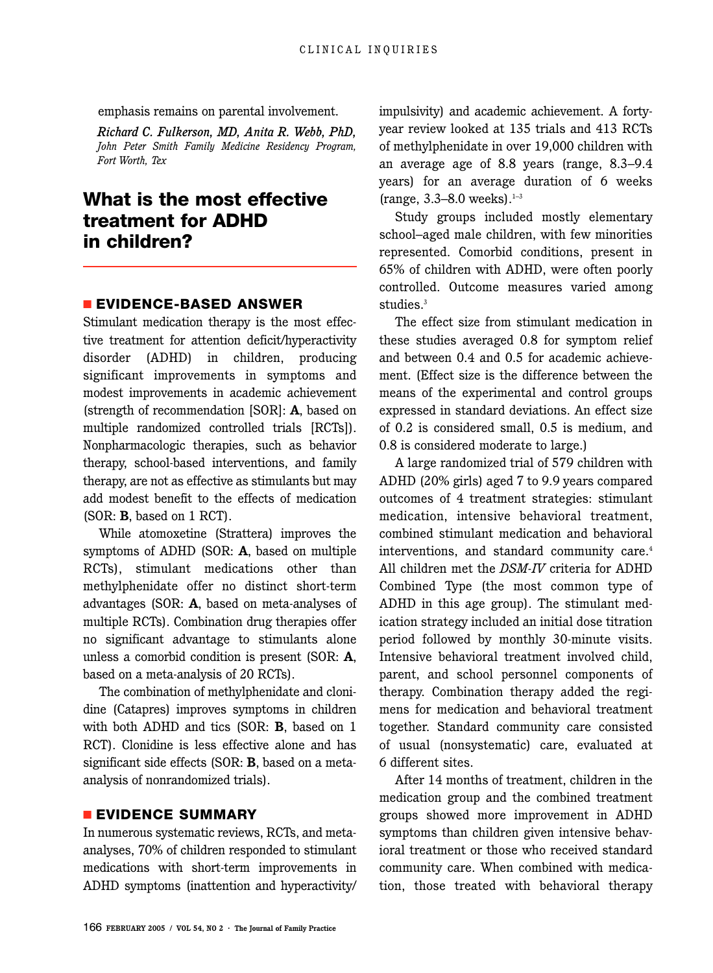emphasis remains on parental involvement.

*Richard C. Fulkerson, MD, Anita R. Webb, PhD, John Peter Smith Family Medicine Residency Program, Fort Worth, Tex*

# **What is the most effective treatment for ADHD in children?**

### ■ **EVIDENCE-BASED ANSWER**

Stimulant medication therapy is the most effective treatment for attention deficit/hyperactivity disorder (ADHD) in children, producing significant improvements in symptoms and modest improvements in academic achievement (strength of recommendation [SOR]: **A**, based on multiple randomized controlled trials [RCTs]). Nonpharmacologic therapies, such as behavior therapy, school-based interventions, and family therapy, are not as effective as stimulants but may add modest benefit to the effects of medication (SOR: **B**, based on 1 RCT).

While atomoxetine (Strattera) improves the symptoms of ADHD (SOR: **A**, based on multiple RCTs), stimulant medications other than methylphenidate offer no distinct short-term advantages (SOR: **A**, based on meta-analyses of multiple RCTs). Combination drug therapies offer no significant advantage to stimulants alone unless a comorbid condition is present (SOR: **A**, based on a meta-analysis of 20 RCTs).

The combination of methylphenidate and clonidine (Catapres) improves symptoms in children with both ADHD and tics (SOR: **B**, based on 1 RCT). Clonidine is less effective alone and has significant side effects (SOR: **B**, based on a metaanalysis of nonrandomized trials).

## ■ **EVIDENCE SUMMARY**

In numerous systematic reviews, RCTs, and metaanalyses, 70% of children responded to stimulant medications with short-term improvements in ADHD symptoms (inattention and hyperactivity/ impulsivity) and academic achievement. A fortyyear review looked at 135 trials and 413 RCTs of methylphenidate in over 19,000 children with an average age of 8.8 years (range, 8.3–9.4 years) for an average duration of 6 weeks (range,  $3.3-8.0$  weeks).<sup>1-3</sup>

Study groups included mostly elementary school–aged male children, with few minorities represented. Comorbid conditions, present in 65% of children with ADHD, were often poorly controlled. Outcome measures varied among studies.<sup>3</sup>

The effect size from stimulant medication in these studies averaged 0.8 for symptom relief and between 0.4 and 0.5 for academic achievement. (Effect size is the difference between the means of the experimental and control groups expressed in standard deviations. An effect size of 0.2 is considered small, 0.5 is medium, and 0.8 is considered moderate to large.)

A large randomized trial of 579 children with ADHD (20% girls) aged 7 to 9.9 years compared outcomes of 4 treatment strategies: stimulant medication, intensive behavioral treatment, combined stimulant medication and behavioral interventions, and standard community care.<sup>4</sup> All children met the *DSM-IV* criteria for ADHD Combined Type (the most common type of ADHD in this age group). The stimulant medication strategy included an initial dose titration period followed by monthly 30-minute visits. Intensive behavioral treatment involved child, parent, and school personnel components of therapy. Combination therapy added the regimens for medication and behavioral treatment together. Standard community care consisted of usual (nonsystematic) care, evaluated at 6 different sites.

After 14 months of treatment, children in the medication group and the combined treatment groups showed more improvement in ADHD symptoms than children given intensive behavioral treatment or those who received standard community care. When combined with medication, those treated with behavioral therapy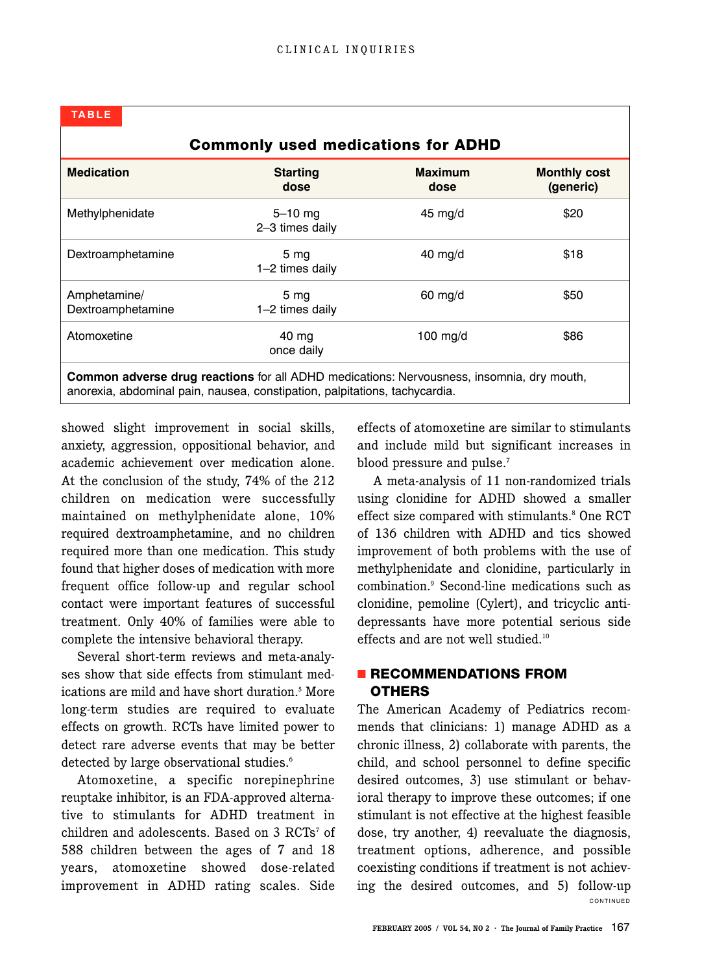| <b>TABLE</b>                                                                                                                                                            |                                    |                        |                                  |
|-------------------------------------------------------------------------------------------------------------------------------------------------------------------------|------------------------------------|------------------------|----------------------------------|
| <b>Commonly used medications for ADHD</b>                                                                                                                               |                                    |                        |                                  |
| <b>Medication</b>                                                                                                                                                       | <b>Starting</b><br>dose            | <b>Maximum</b><br>dose | <b>Monthly cost</b><br>(generic) |
| Methylphenidate                                                                                                                                                         | $5 - 10$ mg<br>2-3 times daily     | $45 \text{ mg/d}$      | \$20                             |
| Dextroamphetamine                                                                                                                                                       | 5 <sub>mg</sub><br>1-2 times daily | $40$ mg/d              | \$18                             |
| Amphetamine/<br>Dextroamphetamine                                                                                                                                       | 5 <sub>mg</sub><br>1-2 times daily | $60$ mg/d              | \$50                             |
| Atomoxetine                                                                                                                                                             | 40 mg<br>once daily                | $100 \text{ mg/d}$     | \$86                             |
| Common adverse drug reactions for all ADHD medications: Nervousness, insomnia, dry mouth,<br>anorexia, abdominal pain, nausea, constipation, palpitations, tachycardia. |                                    |                        |                                  |

showed slight improvement in social skills, anxiety, aggression, oppositional behavior, and academic achievement over medication alone. At the conclusion of the study, 74% of the 212 children on medication were successfully maintained on methylphenidate alone, 10% required dextroamphetamine, and no children required more than one medication. This study found that higher doses of medication with more frequent office follow-up and regular school contact were important features of successful treatment. Only 40% of families were able to complete the intensive behavioral therapy.

Several short-term reviews and meta-analyses show that side effects from stimulant medications are mild and have short duration.<sup>5</sup> More long-term studies are required to evaluate effects on growth. RCTs have limited power to detect rare adverse events that may be better detected by large observational studies.<sup>6</sup>

Atomoxetine, a specific norepinephrine reuptake inhibitor, is an FDA-approved alternative to stimulants for ADHD treatment in children and adolescents. Based on 3 RCTs<sup>7</sup> of 588 children between the ages of 7 and 18 years, atomoxetine showed dose-related improvement in ADHD rating scales. Side

effects of atomoxetine are similar to stimulants and include mild but significant increases in blood pressure and pulse.<sup>7</sup>

A meta-analysis of 11 non-randomized trials using clonidine for ADHD showed a smaller effect size compared with stimulants.<sup>8</sup> One RCT of 136 children with ADHD and tics showed improvement of both problems with the use of methylphenidate and clonidine, particularly in combination.9 Second-line medications such as clonidine, pemoline (Cylert), and tricyclic antidepressants have more potential serious side effects and are not well studied.<sup>10</sup>

## ■ **RECOMMENDATIONS FROM OTHERS**

CONTINUED The American Academy of Pediatrics recommends that clinicians: 1) manage ADHD as a chronic illness, 2) collaborate with parents, the child, and school personnel to define specific desired outcomes, 3) use stimulant or behavioral therapy to improve these outcomes; if one stimulant is not effective at the highest feasible dose, try another, 4) reevaluate the diagnosis, treatment options, adherence, and possible coexisting conditions if treatment is not achieving the desired outcomes, and 5) follow-up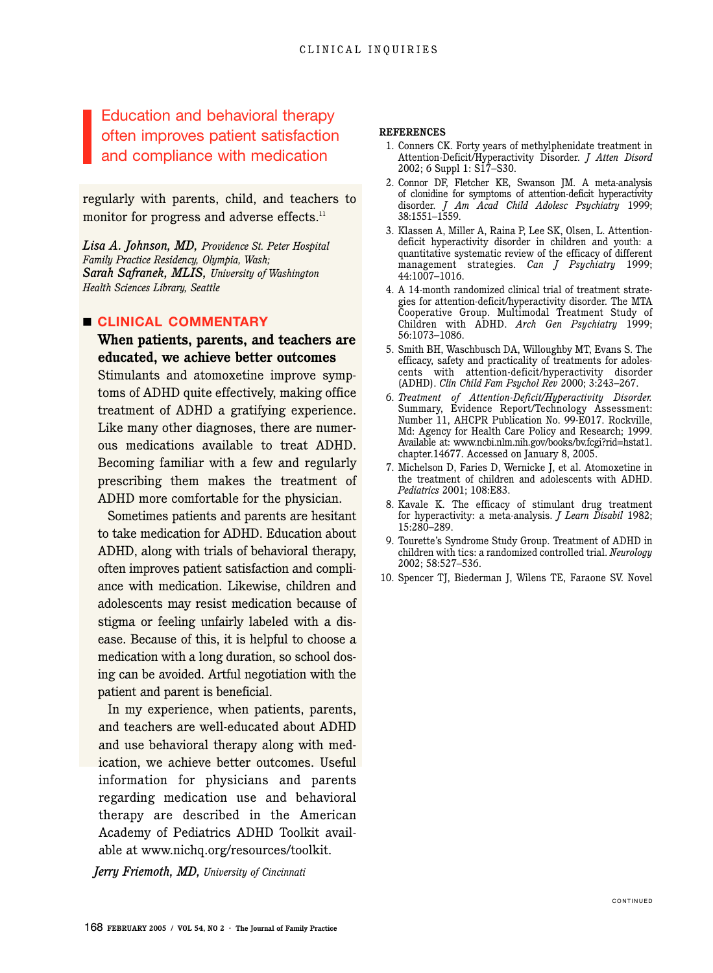Education and behavioral therapy often improves patient satisfaction and compliance with medication

regularly with parents, child, and teachers to monitor for progress and adverse effects.<sup>11</sup>

*Lisa A. Johnson, MD, Providence St. Peter Hospital Family Practice Residency, Olympia, Wash; Sarah Safranek, MLIS, University of Washington Health Sciences Library, Seattle*

### ■ **CLINICAL COMMENTARY**

## **When patients, parents, and teachers are educated, we achieve better outcomes**

Stimulants and atomoxetine improve symptoms of ADHD quite effectively, making office treatment of ADHD a gratifying experience. Like many other diagnoses, there are numerous medications available to treat ADHD. Becoming familiar with a few and regularly prescribing them makes the treatment of ADHD more comfortable for the physician.

Sometimes patients and parents are hesitant to take medication for ADHD. Education about ADHD, along with trials of behavioral therapy, often improves patient satisfaction and compliance with medication. Likewise, children and adolescents may resist medication because of stigma or feeling unfairly labeled with a disease. Because of this, it is helpful to choose a medication with a long duration, so school dosing can be avoided. Artful negotiation with the patient and parent is beneficial.

In my experience, when patients, parents, and teachers are well-educated about ADHD and use behavioral therapy along with medication, we achieve better outcomes. Useful information for physicians and parents regarding medication use and behavioral therapy are described in the American Academy of Pediatrics ADHD Toolkit available at www.nichq.org/resources/toolkit.

*Jerry Friemoth, MD, University of Cincinnati*

#### **REFERENCES**

- 1. Conners CK. Forty years of methylphenidate treatment in Attention-Deficit/Hyperactivity Disorder. *J Atten Disord* 2002; 6 Suppl 1: S17–S30.
- 2. Connor DF, Fletcher KE, Swanson JM. A meta-analysis of clonidine for symptoms of attention-deficit hyperactivity disorder. *J Am Acad Child Adolesc Psychiatry* 1999; 38:1551–1559.
- 3. Klassen A, Miller A, Raina P, Lee SK, Olsen, L. Attentiondeficit hyperactivity disorder in children and youth: a quantitative systematic review of the efficacy of different management strategies. *Can J Psychiatry* 1999; 44:1007–1016.
- 4. A 14-month randomized clinical trial of treatment strategies for attention-deficit/hyperactivity disorder. The MTA Cooperative Group. Multimodal Treatment Study of Children with ADHD. *Arch Gen Psychiatry* 1999; 56:1073–1086.
- 5. Smith BH, Waschbusch DA, Willoughby MT, Evans S. The efficacy, safety and practicality of treatments for adolescents with attention-deficit/hyperactivity disorder (ADHD). *Clin Child Fam Psychol Rev* 2000; 3:243–267.
- 6. *Treatment of Attention-Deficit/Hyperactivity Disorder.* Summary, Evidence Report/Technology Assessment: Number 11, AHCPR Publication No. 99-E017. Rockville, Md: Agency for Health Care Policy and Research; 1999. Available at: www.ncbi.nlm.nih.gov/books/bv.fcgi?rid=hstat1. chapter.14677. Accessed on January 8, 2005.
- 7. Michelson D, Faries D, Wernicke J, et al. Atomoxetine in the treatment of children and adolescents with ADHD. *Pediatrics* 2001; 108:E83.
- 8. Kavale K. The efficacy of stimulant drug treatment for hyperactivity: a meta-analysis. *J Learn Disabil* 1982; 15:280–289.
- 9. Tourette's Syndrome Study Group. Treatment of ADHD in children with tics: a randomized controlled trial. *Neurology* 2002; 58:527–536.
- 10. Spencer TJ, Biederman J, Wilens TE, Faraone SV. Novel